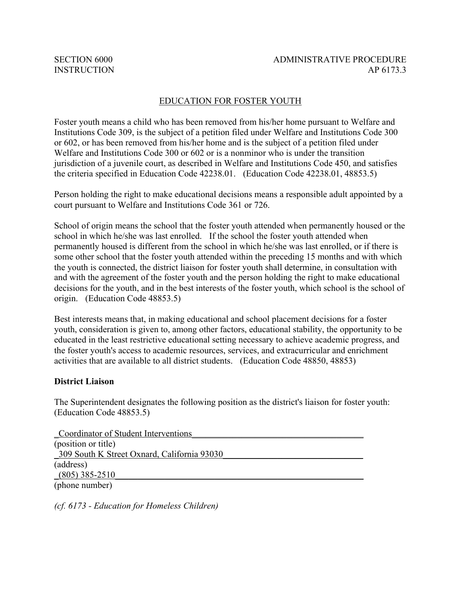### EDUCATION FOR FOSTER YOUTH

Foster youth means a child who has been removed from his/her home pursuant to Welfare and Institutions Code 309, is the subject of a petition filed under Welfare and Institutions Code 300 or 602, or has been removed from his/her home and is the subject of a petition filed under Welfare and Institutions Code 300 or 602 or is a nonminor who is under the transition jurisdiction of a juvenile court, as described in Welfare and Institutions Code 450, and satisfies the criteria specified in Education Code 42238.01. (Education Code 42238.01, 48853.5)

Person holding the right to make educational decisions means a responsible adult appointed by a court pursuant to Welfare and Institutions Code 361 or 726.

School of origin means the school that the foster youth attended when permanently housed or the school in which he/she was last enrolled. If the school the foster youth attended when permanently housed is different from the school in which he/she was last enrolled, or if there is some other school that the foster youth attended within the preceding 15 months and with which the youth is connected, the district liaison for foster youth shall determine, in consultation with and with the agreement of the foster youth and the person holding the right to make educational decisions for the youth, and in the best interests of the foster youth, which school is the school of origin. (Education Code 48853.5)

Best interests means that, in making educational and school placement decisions for a foster youth, consideration is given to, among other factors, educational stability, the opportunity to be educated in the least restrictive educational setting necessary to achieve academic progress, and the foster youth's access to academic resources, services, and extracurricular and enrichment activities that are available to all district students. (Education Code 48850, 48853)

#### **District Liaison**

The Superintendent designates the following position as the district's liaison for foster youth: (Education Code 48853.5)

| Coordinator of Student Interventions        |  |
|---------------------------------------------|--|
| (position or title)                         |  |
| 309 South K Street Oxnard, California 93030 |  |
| (address)                                   |  |
| $(805)$ 385-2510                            |  |
| (phone number)                              |  |

*(cf. 6173 - Education for Homeless Children)*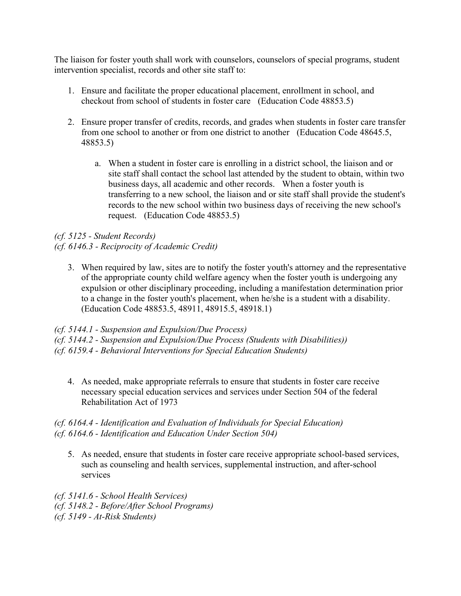The liaison for foster youth shall work with counselors, counselors of special programs, student intervention specialist, records and other site staff to:

- 1. Ensure and facilitate the proper educational placement, enrollment in school, and checkout from school of students in foster care (Education Code 48853.5)
- 2. Ensure proper transfer of credits, records, and grades when students in foster care transfer from one school to another or from one district to another (Education Code 48645.5, 48853.5)
	- a. When a student in foster care is enrolling in a district school, the liaison and or site staff shall contact the school last attended by the student to obtain, within two business days, all academic and other records. When a foster youth is transferring to a new school, the liaison and or site staff shall provide the student's records to the new school within two business days of receiving the new school's request. (Education Code 48853.5)

*(cf. 5125 - Student Records) (cf. 6146.3 - Reciprocity of Academic Credit)*

3. When required by law, sites are to notify the foster youth's attorney and the representative of the appropriate county child welfare agency when the foster youth is undergoing any expulsion or other disciplinary proceeding, including a manifestation determination prior to a change in the foster youth's placement, when he/she is a student with a disability. (Education Code 48853.5, 48911, 48915.5, 48918.1)

*(cf. 5144.1 - Suspension and Expulsion/Due Process)*

*(cf. 5144.2 - Suspension and Expulsion/Due Process (Students with Disabilities))*

*(cf. 6159.4 - Behavioral Interventions for Special Education Students)*

4. As needed, make appropriate referrals to ensure that students in foster care receive necessary special education services and services under Section 504 of the federal Rehabilitation Act of 1973

## *(cf. 6164.4 - Identification and Evaluation of Individuals for Special Education) (cf. 6164.6 - Identification and Education Under Section 504)*

5. As needed, ensure that students in foster care receive appropriate school-based services, such as counseling and health services, supplemental instruction, and after-school services

*(cf. 5141.6 - School Health Services) (cf. 5148.2 - Before/After School Programs) (cf. 5149 - At-Risk Students)*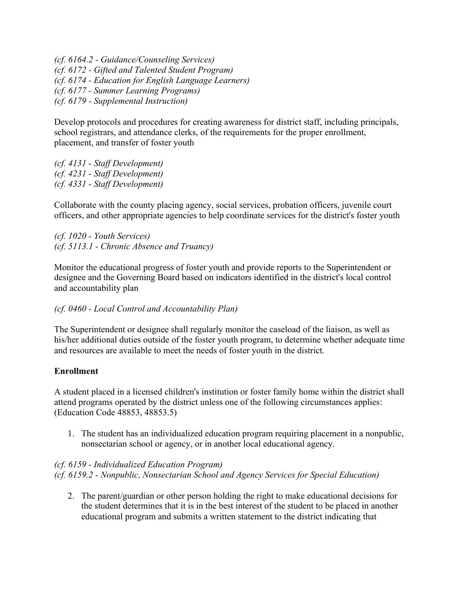*(cf. 6164.2 - Guidance/Counseling Services) (cf. 6172 - Gifted and Talented Student Program) (cf. 6174 - Education for English Language Learners) (cf. 6177 - Summer Learning Programs) (cf. 6179 - Supplemental Instruction)*

Develop protocols and procedures for creating awareness for district staff, including principals, school registrars, and attendance clerks, of the requirements for the proper enrollment, placement, and transfer of foster youth

*(cf. 4131 - Staff Development) (cf. 4231 - Staff Development) (cf. 4331 - Staff Development)*

Collaborate with the county placing agency, social services, probation officers, juvenile court officers, and other appropriate agencies to help coordinate services for the district's foster youth

*(cf. 1020 - Youth Services) (cf. 5113.1 - Chronic Absence and Truancy)*

Monitor the educational progress of foster youth and provide reports to the Superintendent or designee and the Governing Board based on indicators identified in the district's local control and accountability plan

*(cf. 0460 - Local Control and Accountability Plan)*

The Superintendent or designee shall regularly monitor the caseload of the liaison, as well as his/her additional duties outside of the foster youth program, to determine whether adequate time and resources are available to meet the needs of foster youth in the district.

## **Enrollment**

A student placed in a licensed children's institution or foster family home within the district shall attend programs operated by the district unless one of the following circumstances applies: (Education Code 48853, 48853.5)

1. The student has an individualized education program requiring placement in a nonpublic, nonsectarian school or agency, or in another local educational agency.

# *(cf. 6159 - Individualized Education Program) (cf. 6159.2 - Nonpublic, Nonsectarian School and Agency Services for Special Education)*

2. The parent/guardian or other person holding the right to make educational decisions for the student determines that it is in the best interest of the student to be placed in another educational program and submits a written statement to the district indicating that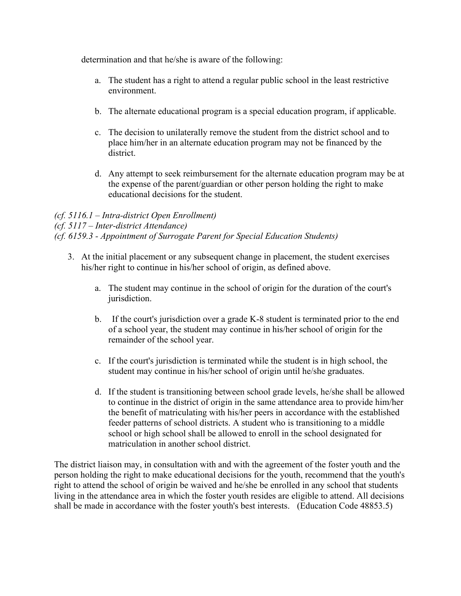determination and that he/she is aware of the following:

- a. The student has a right to attend a regular public school in the least restrictive environment.
- b. The alternate educational program is a special education program, if applicable.
- c. The decision to unilaterally remove the student from the district school and to place him/her in an alternate education program may not be financed by the district.
- d. Any attempt to seek reimbursement for the alternate education program may be at the expense of the parent/guardian or other person holding the right to make educational decisions for the student.

# *(cf. 5116.1 – Intra-district Open Enrollment)*

### *(cf. 5117 – Inter-district Attendance)*

*(cf. 6159.3 - Appointment of Surrogate Parent for Special Education Students)*

- 3. At the initial placement or any subsequent change in placement, the student exercises his/her right to continue in his/her school of origin, as defined above.
	- a. The student may continue in the school of origin for the duration of the court's jurisdiction.
	- b. If the court's jurisdiction over a grade K-8 student is terminated prior to the end of a school year, the student may continue in his/her school of origin for the remainder of the school year.
	- c. If the court's jurisdiction is terminated while the student is in high school, the student may continue in his/her school of origin until he/she graduates.
	- d. If the student is transitioning between school grade levels, he/she shall be allowed to continue in the district of origin in the same attendance area to provide him/her the benefit of matriculating with his/her peers in accordance with the established feeder patterns of school districts. A student who is transitioning to a middle school or high school shall be allowed to enroll in the school designated for matriculation in another school district.

The district liaison may, in consultation with and with the agreement of the foster youth and the person holding the right to make educational decisions for the youth, recommend that the youth's right to attend the school of origin be waived and he/she be enrolled in any school that students living in the attendance area in which the foster youth resides are eligible to attend. All decisions shall be made in accordance with the foster youth's best interests. (Education Code 48853.5)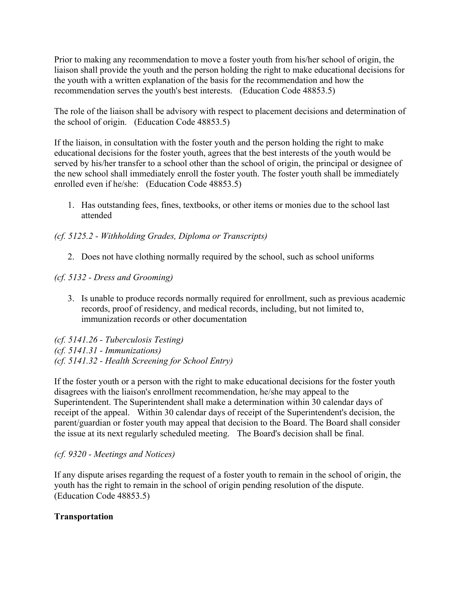Prior to making any recommendation to move a foster youth from his/her school of origin, the liaison shall provide the youth and the person holding the right to make educational decisions for the youth with a written explanation of the basis for the recommendation and how the recommendation serves the youth's best interests. (Education Code 48853.5)

The role of the liaison shall be advisory with respect to placement decisions and determination of the school of origin. (Education Code 48853.5)

If the liaison, in consultation with the foster youth and the person holding the right to make educational decisions for the foster youth, agrees that the best interests of the youth would be served by his/her transfer to a school other than the school of origin, the principal or designee of the new school shall immediately enroll the foster youth. The foster youth shall be immediately enrolled even if he/she: (Education Code 48853.5)

1. Has outstanding fees, fines, textbooks, or other items or monies due to the school last attended

*(cf. 5125.2 - Withholding Grades, Diploma or Transcripts)*

2. Does not have clothing normally required by the school, such as school uniforms

*(cf. 5132 - Dress and Grooming)*

3. Is unable to produce records normally required for enrollment, such as previous academic records, proof of residency, and medical records, including, but not limited to, immunization records or other documentation

*(cf. 5141.26 - Tuberculosis Testing) (cf. 5141.31 - Immunizations) (cf. 5141.32 - Health Screening for School Entry)*

If the foster youth or a person with the right to make educational decisions for the foster youth disagrees with the liaison's enrollment recommendation, he/she may appeal to the Superintendent. The Superintendent shall make a determination within 30 calendar days of receipt of the appeal. Within 30 calendar days of receipt of the Superintendent's decision, the parent/guardian or foster youth may appeal that decision to the Board. The Board shall consider the issue at its next regularly scheduled meeting. The Board's decision shall be final.

## *(cf. 9320 - Meetings and Notices)*

If any dispute arises regarding the request of a foster youth to remain in the school of origin, the youth has the right to remain in the school of origin pending resolution of the dispute. (Education Code 48853.5)

# **Transportation**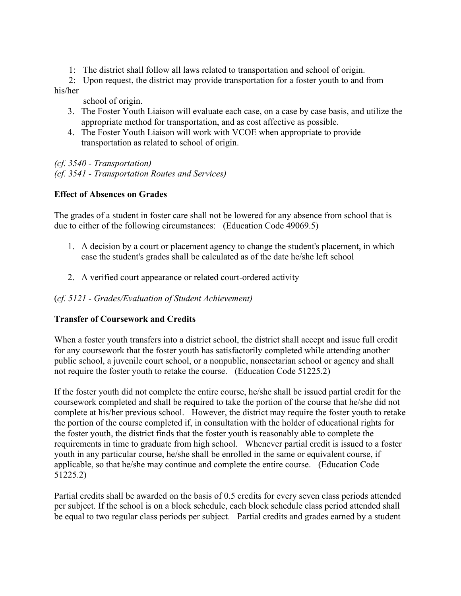1: The district shall follow all laws related to transportation and school of origin.

 2: Upon request, the district may provide transportation for a foster youth to and from his/her

school of origin.

- 3. The Foster Youth Liaison will evaluate each case, on a case by case basis, and utilize the appropriate method for transportation, and as cost affective as possible.
- 4. The Foster Youth Liaison will work with VCOE when appropriate to provide transportation as related to school of origin.

*(cf. 3540 - Transportation) (cf. 3541 - Transportation Routes and Services)*

# **Effect of Absences on Grades**

The grades of a student in foster care shall not be lowered for any absence from school that is due to either of the following circumstances: (Education Code 49069.5)

- 1. A decision by a court or placement agency to change the student's placement, in which case the student's grades shall be calculated as of the date he/she left school
- 2. A verified court appearance or related court-ordered activity

## (*cf. 5121 - Grades/Evaluation of Student Achievement)*

## **Transfer of Coursework and Credits**

When a foster youth transfers into a district school, the district shall accept and issue full credit for any coursework that the foster youth has satisfactorily completed while attending another public school, a juvenile court school, or a nonpublic, nonsectarian school or agency and shall not require the foster youth to retake the course. (Education Code 51225.2)

If the foster youth did not complete the entire course, he/she shall be issued partial credit for the coursework completed and shall be required to take the portion of the course that he/she did not complete at his/her previous school. However, the district may require the foster youth to retake the portion of the course completed if, in consultation with the holder of educational rights for the foster youth, the district finds that the foster youth is reasonably able to complete the requirements in time to graduate from high school. Whenever partial credit is issued to a foster youth in any particular course, he/she shall be enrolled in the same or equivalent course, if applicable, so that he/she may continue and complete the entire course. (Education Code 51225.2)

Partial credits shall be awarded on the basis of 0.5 credits for every seven class periods attended per subject. If the school is on a block schedule, each block schedule class period attended shall be equal to two regular class periods per subject. Partial credits and grades earned by a student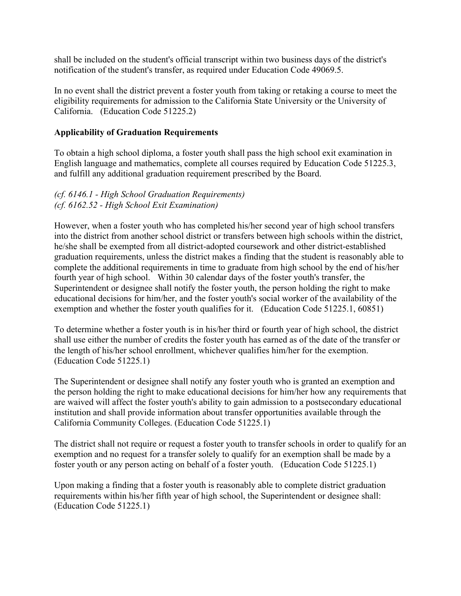shall be included on the student's official transcript within two business days of the district's notification of the student's transfer, as required under Education Code 49069.5.

In no event shall the district prevent a foster youth from taking or retaking a course to meet the eligibility requirements for admission to the California State University or the University of California. (Education Code 51225.2)

### **Applicability of Graduation Requirements**

To obtain a high school diploma, a foster youth shall pass the high school exit examination in English language and mathematics, complete all courses required by Education Code 51225.3, and fulfill any additional graduation requirement prescribed by the Board.

### *(cf. 6146.1 - High School Graduation Requirements) (cf. 6162.52 - High School Exit Examination)*

However, when a foster youth who has completed his/her second year of high school transfers into the district from another school district or transfers between high schools within the district, he/she shall be exempted from all district-adopted coursework and other district-established graduation requirements, unless the district makes a finding that the student is reasonably able to complete the additional requirements in time to graduate from high school by the end of his/her fourth year of high school. Within 30 calendar days of the foster youth's transfer, the Superintendent or designee shall notify the foster youth, the person holding the right to make educational decisions for him/her, and the foster youth's social worker of the availability of the exemption and whether the foster youth qualifies for it. (Education Code 51225.1, 60851)

To determine whether a foster youth is in his/her third or fourth year of high school, the district shall use either the number of credits the foster youth has earned as of the date of the transfer or the length of his/her school enrollment, whichever qualifies him/her for the exemption. (Education Code 51225.1)

The Superintendent or designee shall notify any foster youth who is granted an exemption and the person holding the right to make educational decisions for him/her how any requirements that are waived will affect the foster youth's ability to gain admission to a postsecondary educational institution and shall provide information about transfer opportunities available through the California Community Colleges. (Education Code 51225.1)

The district shall not require or request a foster youth to transfer schools in order to qualify for an exemption and no request for a transfer solely to qualify for an exemption shall be made by a foster youth or any person acting on behalf of a foster youth. (Education Code 51225.1)

Upon making a finding that a foster youth is reasonably able to complete district graduation requirements within his/her fifth year of high school, the Superintendent or designee shall: (Education Code 51225.1)